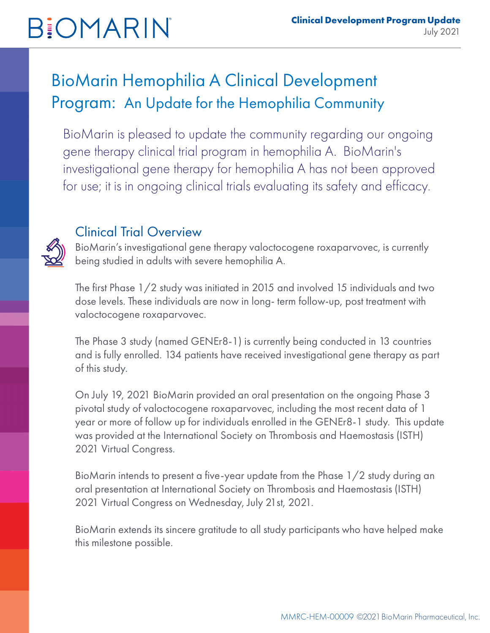# **BIOMARIN**

### BioMarin Hemophilia A Clinical Development Program: An Update for the Hemophilia Community

BioMarin is pleased to update the community regarding our ongoing gene therapy clinical trial program in hemophilia A. BioMarin's investigational gene therapy for hemophilia A has not been approved for use; it is in ongoing clinical trials evaluating its safety and efficacy.



### Clinical Trial Overview

BioMarin's investigational gene therapy valoctocogene roxaparvovec, is currently being studied in adults with severe hemophilia A.

The first Phase 1/2 study was initiated in 2015 and involved 15 individuals and two dose levels. These individuals are now in long- term follow-up, post treatment with valoctocogene roxaparvovec.

The Phase 3 study (named GENEr8-1) is currently being conducted in 13 countries and is fully enrolled. 134 patients have received investigational gene therapy as part of this study.

On July 19, 2021 BioMarin provided an oral presentation on the ongoing Phase 3 pivotal study of valoctocogene roxaparvovec, including the most recent data of 1 year or more of follow up for individuals enrolled in the GENEr8-1 study. This update was provided at the International Society on Thrombosis and Haemostasis (ISTH) 2021 Virtual Congress.

BioMarin intends to present a five-year update from the Phase 1/2 study during an oral presentation at International Society on Thrombosis and Haemostasis (ISTH) 2021 Virtual Congress on Wednesday, July 21st, 2021.

BioMarin extends its sincere gratitude to all study participants who have helped make this milestone possible.